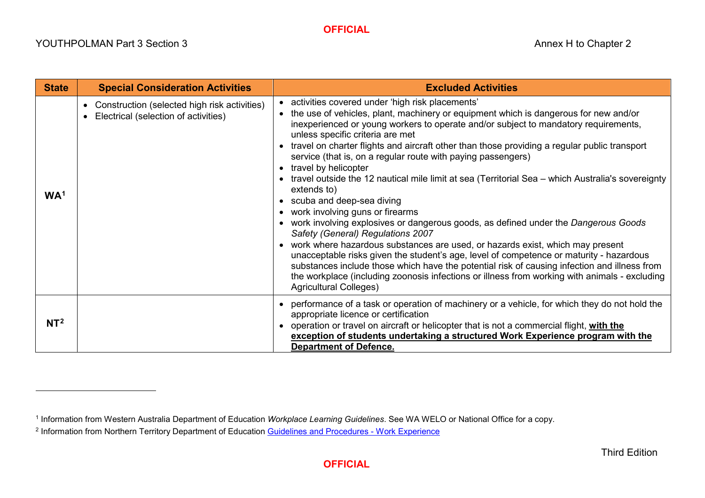## <span id="page-0-1"></span><span id="page-0-0"></span>**OFFICIAL**

 $\overline{a}$ 

| <b>State</b>    | <b>Special Consideration Activities</b>                                                                        | <b>Excluded Activities</b>                                                                                                                                                                                                                                                                                                                                                                                                                                                                                                                                                                                                                                                                                                                                                                                                                                                                                                                                                                                                                                                                                                                                                                                   |
|-----------------|----------------------------------------------------------------------------------------------------------------|--------------------------------------------------------------------------------------------------------------------------------------------------------------------------------------------------------------------------------------------------------------------------------------------------------------------------------------------------------------------------------------------------------------------------------------------------------------------------------------------------------------------------------------------------------------------------------------------------------------------------------------------------------------------------------------------------------------------------------------------------------------------------------------------------------------------------------------------------------------------------------------------------------------------------------------------------------------------------------------------------------------------------------------------------------------------------------------------------------------------------------------------------------------------------------------------------------------|
| WA <sup>1</sup> | Construction (selected high risk activities)<br>$\bullet$<br>Electrical (selection of activities)<br>$\bullet$ | • activities covered under 'high risk placements'<br>the use of vehicles, plant, machinery or equipment which is dangerous for new and/or<br>inexperienced or young workers to operate and/or subject to mandatory requirements,<br>unless specific criteria are met<br>travel on charter flights and aircraft other than those providing a regular public transport<br>service (that is, on a regular route with paying passengers)<br>• travel by helicopter<br>travel outside the 12 nautical mile limit at sea (Territorial Sea – which Australia's sovereignty<br>extends to)<br>• scuba and deep-sea diving<br>• work involving guns or firearms<br>work involving explosives or dangerous goods, as defined under the Dangerous Goods<br>Safety (General) Regulations 2007<br>work where hazardous substances are used, or hazards exist, which may present<br>$\bullet$<br>unacceptable risks given the student's age, level of competence or maturity - hazardous<br>substances include those which have the potential risk of causing infection and illness from<br>the workplace (including zoonosis infections or illness from working with animals - excluding<br><b>Agricultural Colleges)</b> |
| NT <sup>2</sup> |                                                                                                                | performance of a task or operation of machinery or a vehicle, for which they do not hold the<br>appropriate licence or certification<br>operation or travel on aircraft or helicopter that is not a commercial flight, with the<br>exception of students undertaking a structured Work Experience program with the<br><b>Department of Defence.</b>                                                                                                                                                                                                                                                                                                                                                                                                                                                                                                                                                                                                                                                                                                                                                                                                                                                          |

<sup>1</sup> Information from Western Australia Department of Education *Workplace Learning Guidelines*. See WA WELO or National Office for a copy.

<sup>&</sup>lt;sup>2</sup> Information from Northern Territory Department of Education [Guidelines and Procedures -](https://education.nt.gov.au/__data/assets/pdf_file/0007/495394/Work-Experience-Guidelines.pdf) Work Experience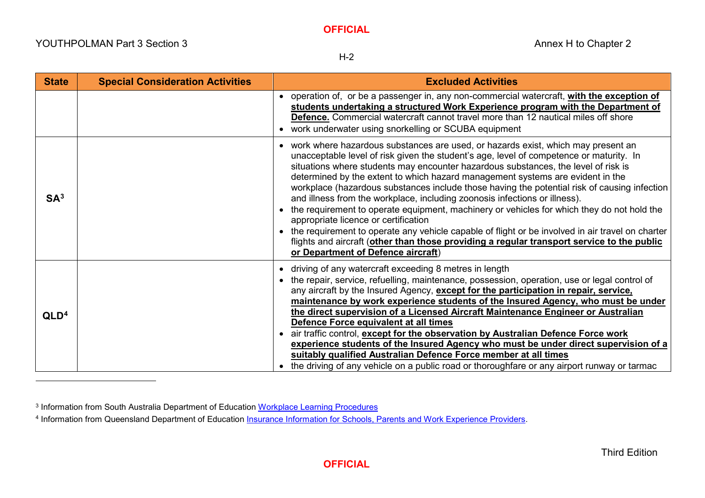$\overline{a}$ 

<span id="page-1-1"></span><span id="page-1-0"></span>H-2

| <b>State</b>     | <b>Special Consideration Activities</b> | <b>Excluded Activities</b>                                                                                                                                                                                                                                                                                                                                                                                                                                                                                                                                                                                                                                                                                                                                                                                                                                                                                            |
|------------------|-----------------------------------------|-----------------------------------------------------------------------------------------------------------------------------------------------------------------------------------------------------------------------------------------------------------------------------------------------------------------------------------------------------------------------------------------------------------------------------------------------------------------------------------------------------------------------------------------------------------------------------------------------------------------------------------------------------------------------------------------------------------------------------------------------------------------------------------------------------------------------------------------------------------------------------------------------------------------------|
|                  |                                         | • operation of, or be a passenger in, any non-commercial watercraft, with the exception of<br>students undertaking a structured Work Experience program with the Department of<br>Defence. Commercial watercraft cannot travel more than 12 nautical miles off shore<br>• work underwater using snorkelling or SCUBA equipment                                                                                                                                                                                                                                                                                                                                                                                                                                                                                                                                                                                        |
| SA <sup>3</sup>  |                                         | • work where hazardous substances are used, or hazards exist, which may present an<br>unacceptable level of risk given the student's age, level of competence or maturity. In<br>situations where students may encounter hazardous substances, the level of risk is<br>determined by the extent to which hazard management systems are evident in the<br>workplace (hazardous substances include those having the potential risk of causing infection<br>and illness from the workplace, including zoonosis infections or illness).<br>• the requirement to operate equipment, machinery or vehicles for which they do not hold the<br>appropriate licence or certification<br>• the requirement to operate any vehicle capable of flight or be involved in air travel on charter<br>flights and aircraft (other than those providing a regular transport service to the public<br>or Department of Defence aircraft) |
| QLD <sup>4</sup> |                                         | • driving of any watercraft exceeding 8 metres in length<br>• the repair, service, refuelling, maintenance, possession, operation, use or legal control of<br>any aircraft by the Insured Agency, except for the participation in repair, service,<br>maintenance by work experience students of the Insured Agency, who must be under<br>the direct supervision of a Licensed Aircraft Maintenance Engineer or Australian<br>Defence Force equivalent at all times<br>• air traffic control, except for the observation by Australian Defence Force work<br>experience students of the Insured Agency who must be under direct supervision of a<br>suitably qualified Australian Defence Force member at all times<br>• the driving of any vehicle on a public road or thoroughfare or any airport runway or tarmac                                                                                                  |

<sup>3</sup> Information from South Australia Department of Education [Workplace Learning Procedures](https://www.education.sa.gov.au/sites/default/files/workplace-learning-procedures.pdf?v=1585806284)

<sup>4</sup> Information from Queensland Department of Education [Insurance Information for Schools, Parents and Work Experience Providers.](https://ppr.qed.qld.gov.au/attachment/insurance-information-for-schools-parents-and-work-experience-providers.docx)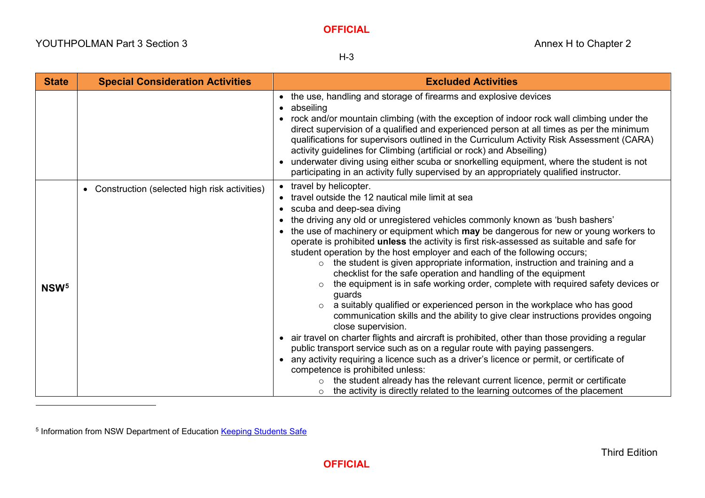<span id="page-2-0"></span>H-3

| <b>State</b>     | <b>Special Consideration Activities</b>        | <b>Excluded Activities</b>                                                                                                                                                                                                                                                                                                                                                                                                                                                                                                                                                                                                                                                                                                                                                                                                                                                                                                                                                                                                                                                                                                                                                                                                                                                                                                                                                                                                         |
|------------------|------------------------------------------------|------------------------------------------------------------------------------------------------------------------------------------------------------------------------------------------------------------------------------------------------------------------------------------------------------------------------------------------------------------------------------------------------------------------------------------------------------------------------------------------------------------------------------------------------------------------------------------------------------------------------------------------------------------------------------------------------------------------------------------------------------------------------------------------------------------------------------------------------------------------------------------------------------------------------------------------------------------------------------------------------------------------------------------------------------------------------------------------------------------------------------------------------------------------------------------------------------------------------------------------------------------------------------------------------------------------------------------------------------------------------------------------------------------------------------------|
|                  |                                                | • the use, handling and storage of firearms and explosive devices<br>abseiling<br>• rock and/or mountain climbing (with the exception of indoor rock wall climbing under the<br>direct supervision of a qualified and experienced person at all times as per the minimum<br>qualifications for supervisors outlined in the Curriculum Activity Risk Assessment (CARA)<br>activity guidelines for Climbing (artificial or rock) and Abseiling)<br>• underwater diving using either scuba or snorkelling equipment, where the student is not<br>participating in an activity fully supervised by an appropriately qualified instructor.                                                                                                                                                                                                                                                                                                                                                                                                                                                                                                                                                                                                                                                                                                                                                                                              |
| NSW <sup>5</sup> | • Construction (selected high risk activities) | • travel by helicopter.<br>travel outside the 12 nautical mile limit at sea<br>• scuba and deep-sea diving<br>the driving any old or unregistered vehicles commonly known as 'bush bashers'<br>• the use of machinery or equipment which may be dangerous for new or young workers to<br>operate is prohibited unless the activity is first risk-assessed as suitable and safe for<br>student operation by the host employer and each of the following occurs;<br>the student is given appropriate information, instruction and training and a<br>$\circ$<br>checklist for the safe operation and handling of the equipment<br>the equipment is in safe working order, complete with required safety devices or<br>$\circ$<br>guards<br>a suitably qualified or experienced person in the workplace who has good<br>$\circ$<br>communication skills and the ability to give clear instructions provides ongoing<br>close supervision.<br>• air travel on charter flights and aircraft is prohibited, other than those providing a regular<br>public transport service such as on a regular route with paying passengers.<br>• any activity requiring a licence such as a driver's licence or permit, or certificate of<br>competence is prohibited unless:<br>the student already has the relevant current licence, permit or certificate<br>the activity is directly related to the learning outcomes of the placement<br>$\circ$ |

 $\overline{a}$ 

<sup>5</sup> Information from NSW Department of Education [Keeping Students Safe](https://education.nsw.gov.au/teaching-and-learning/curriculum/career-learning-and-vet/workplace-learning/keeping-students-safe)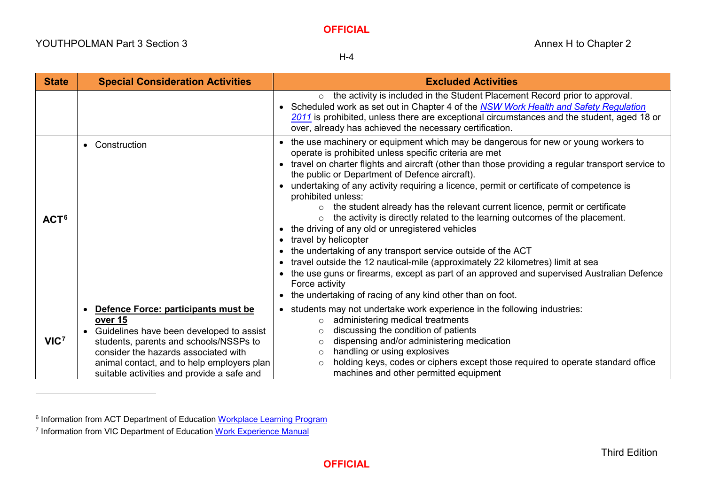<span id="page-3-1"></span><span id="page-3-0"></span>H-4

| <b>State</b>     | <b>Special Consideration Activities</b>                                                                                                                                    | <b>Excluded Activities</b>                                                                                                                                                                                                                                                                                                                                                                                                                                                                                                                                                                                                                                                                                                                                                                                                                                                                                                                                                                                                        |
|------------------|----------------------------------------------------------------------------------------------------------------------------------------------------------------------------|-----------------------------------------------------------------------------------------------------------------------------------------------------------------------------------------------------------------------------------------------------------------------------------------------------------------------------------------------------------------------------------------------------------------------------------------------------------------------------------------------------------------------------------------------------------------------------------------------------------------------------------------------------------------------------------------------------------------------------------------------------------------------------------------------------------------------------------------------------------------------------------------------------------------------------------------------------------------------------------------------------------------------------------|
|                  |                                                                                                                                                                            | the activity is included in the Student Placement Record prior to approval.<br>$\circ$<br>• Scheduled work as set out in Chapter 4 of the NSW Work Health and Safety Regulation<br>2011 is prohibited, unless there are exceptional circumstances and the student, aged 18 or<br>over, already has achieved the necessary certification.                                                                                                                                                                                                                                                                                                                                                                                                                                                                                                                                                                                                                                                                                          |
| ACT <sup>6</sup> | • Construction                                                                                                                                                             | • the use machinery or equipment which may be dangerous for new or young workers to<br>operate is prohibited unless specific criteria are met<br>• travel on charter flights and aircraft (other than those providing a regular transport service to<br>the public or Department of Defence aircraft).<br>• undertaking of any activity requiring a licence, permit or certificate of competence is<br>prohibited unless:<br>the student already has the relevant current licence, permit or certificate<br>$\circ$<br>the activity is directly related to the learning outcomes of the placement.<br>$\circ$<br>• the driving of any old or unregistered vehicles<br>• travel by helicopter<br>• the undertaking of any transport service outside of the ACT<br>• travel outside the 12 nautical-mile (approximately 22 kilometres) limit at sea<br>• the use guns or firearms, except as part of an approved and supervised Australian Defence<br>Force activity<br>• the undertaking of racing of any kind other than on foot. |
|                  | • Defence Force: participants must be<br>over 15<br>• Guidelines have been developed to assist                                                                             | • students may not undertake work experience in the following industries:<br>administering medical treatments<br>$\Omega$<br>discussing the condition of patients<br>$\circ$                                                                                                                                                                                                                                                                                                                                                                                                                                                                                                                                                                                                                                                                                                                                                                                                                                                      |
| VIC <sup>7</sup> | students, parents and schools/NSSPs to<br>consider the hazards associated with<br>animal contact, and to help employers plan<br>suitable activities and provide a safe and | dispensing and/or administering medication<br>$\circ$<br>handling or using explosives<br>$\circ$<br>holding keys, codes or ciphers except those required to operate standard office<br>$\Omega$<br>machines and other permitted equipment                                                                                                                                                                                                                                                                                                                                                                                                                                                                                                                                                                                                                                                                                                                                                                                         |

 $\overline{a}$ 

<sup>&</sup>lt;sup>6</sup> Information from ACT Department of Education [Workplace Learning Program](https://www.education.act.gov.au/?a=1047616)

<sup>&</sup>lt;sup>7</sup> Information from VIC Department of Education [Work Experience Manual](https://www.education.vic.gov.au/Documents/school/teachers/teachingresources/careers/work/wemanualrev.pdf)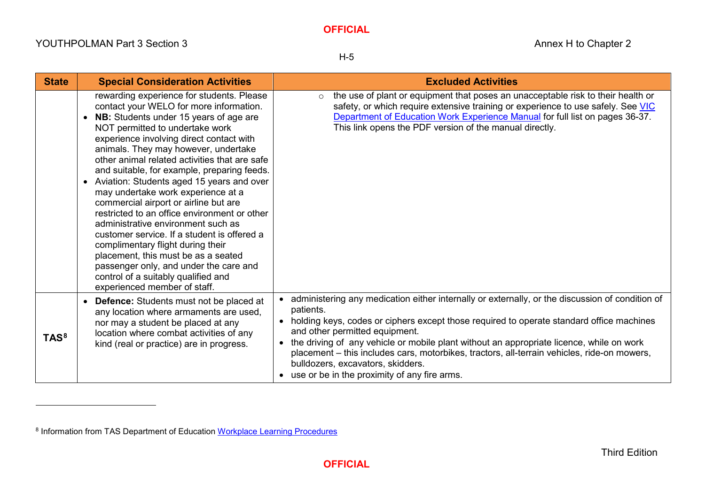# <span id="page-4-0"></span>**OFFICIAL**

 $\overline{a}$ 

H-5

| <b>State</b>     | <b>Special Consideration Activities</b>                                                                                                                                                                                                                                                                                                                                                                                                                                                                                                                                                                                                                                                                                                                                                                                          | <b>Excluded Activities</b>                                                                                                                                                                                                                                                                                                                                                                                                                                                                                                         |
|------------------|----------------------------------------------------------------------------------------------------------------------------------------------------------------------------------------------------------------------------------------------------------------------------------------------------------------------------------------------------------------------------------------------------------------------------------------------------------------------------------------------------------------------------------------------------------------------------------------------------------------------------------------------------------------------------------------------------------------------------------------------------------------------------------------------------------------------------------|------------------------------------------------------------------------------------------------------------------------------------------------------------------------------------------------------------------------------------------------------------------------------------------------------------------------------------------------------------------------------------------------------------------------------------------------------------------------------------------------------------------------------------|
|                  | rewarding experience for students. Please<br>contact your WELO for more information.<br>NB: Students under 15 years of age are<br>NOT permitted to undertake work<br>experience involving direct contact with<br>animals. They may however, undertake<br>other animal related activities that are safe<br>and suitable, for example, preparing feeds.<br>Aviation: Students aged 15 years and over<br>$\bullet$<br>may undertake work experience at a<br>commercial airport or airline but are<br>restricted to an office environment or other<br>administrative environment such as<br>customer service. If a student is offered a<br>complimentary flight during their<br>placement, this must be as a seated<br>passenger only, and under the care and<br>control of a suitably qualified and<br>experienced member of staff. | the use of plant or equipment that poses an unacceptable risk to their health or<br>$\circ$<br>safety, or which require extensive training or experience to use safely. See VIC<br>Department of Education Work Experience Manual for full list on pages 36-37.<br>This link opens the PDF version of the manual directly.                                                                                                                                                                                                         |
| TAS <sup>8</sup> | <b>Defence:</b> Students must not be placed at<br>any location where armaments are used,<br>nor may a student be placed at any<br>location where combat activities of any<br>kind (real or practice) are in progress.                                                                                                                                                                                                                                                                                                                                                                                                                                                                                                                                                                                                            | • administering any medication either internally or externally, or the discussion of condition of<br>patients.<br>• holding keys, codes or ciphers except those required to operate standard office machines<br>and other permitted equipment.<br>• the driving of any vehicle or mobile plant without an appropriate licence, while on work<br>placement – this includes cars, motorbikes, tractors, all-terrain vehicles, ride-on mowers,<br>bulldozers, excavators, skidders.<br>• use or be in the proximity of any fire arms. |

<sup>8</sup> Information from TAS Department of Education [Workplace Learning Procedures](https://www.education.tas.gov.au/parents-carers/school-colleges/workplace-learning/)